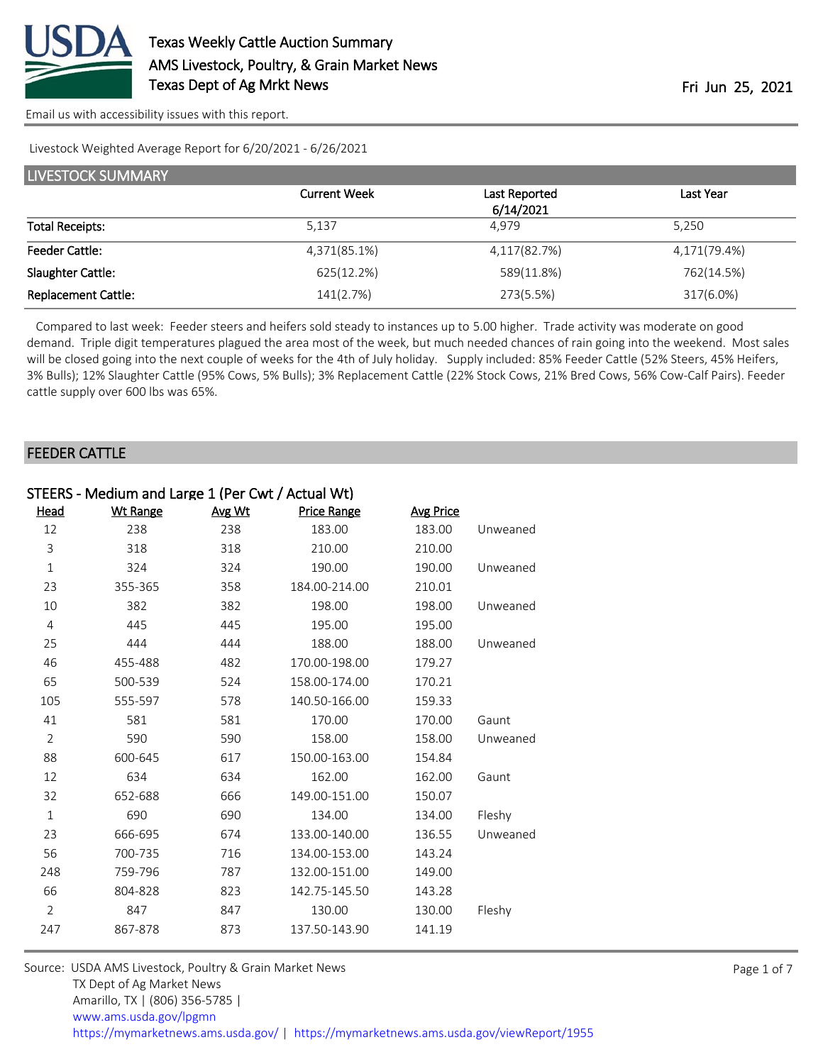

Livestock Weighted Average Report for 6/20/2021 - 6/26/2021

| LIVESTOCK SUMMARY          |                     |               |              |  |  |
|----------------------------|---------------------|---------------|--------------|--|--|
|                            | <b>Current Week</b> | Last Reported | Last Year    |  |  |
|                            |                     | 6/14/2021     |              |  |  |
| <b>Total Receipts:</b>     | 5,137               | 4.979         | 5,250        |  |  |
| <b>Feeder Cattle:</b>      | 4,371(85.1%)        | 4,117(82.7%)  | 4,171(79.4%) |  |  |
| Slaughter Cattle:          | 625(12.2%)          | 589(11.8%)    | 762(14.5%)   |  |  |
| <b>Replacement Cattle:</b> | 141(2.7%)           | 273(5.5%)     | 317(6.0%)    |  |  |

 Compared to last week: Feeder steers and heifers sold steady to instances up to 5.00 higher. Trade activity was moderate on good demand. Triple digit temperatures plagued the area most of the week, but much needed chances of rain going into the weekend. Most sales will be closed going into the next couple of weeks for the 4th of July holiday. Supply included: 85% Feeder Cattle (52% Steers, 45% Heifers, 3% Bulls); 12% Slaughter Cattle (95% Cows, 5% Bulls); 3% Replacement Cattle (22% Stock Cows, 21% Bred Cows, 56% Cow-Calf Pairs). Feeder cattle supply over 600 lbs was 65%.

#### FEEDER CATTLE

| STEERS - Medium and Large 1 (Per Cwt / Actual Wt) |                 |        |               |                  |          |
|---------------------------------------------------|-----------------|--------|---------------|------------------|----------|
| Head                                              | <b>Wt Range</b> | Avg Wt | Price Range   | <b>Avg Price</b> |          |
| 12                                                | 238             | 238    | 183.00        | 183.00           | Unweaned |
| 3                                                 | 318             | 318    | 210.00        | 210.00           |          |
| $\mathbf 1$                                       | 324             | 324    | 190.00        | 190.00           | Unweaned |
| 23                                                | 355-365         | 358    | 184.00-214.00 | 210.01           |          |
| 10                                                | 382             | 382    | 198.00        | 198.00           | Unweaned |
| $\overline{4}$                                    | 445             | 445    | 195.00        | 195.00           |          |
| 25                                                | 444             | 444    | 188.00        | 188.00           | Unweaned |
| 46                                                | 455-488         | 482    | 170.00-198.00 | 179.27           |          |
| 65                                                | 500-539         | 524    | 158.00-174.00 | 170.21           |          |
| 105                                               | 555-597         | 578    | 140.50-166.00 | 159.33           |          |
| 41                                                | 581             | 581    | 170.00        | 170.00           | Gaunt    |
| $\overline{2}$                                    | 590             | 590    | 158.00        | 158.00           | Unweaned |
| 88                                                | 600-645         | 617    | 150.00-163.00 | 154.84           |          |
| 12                                                | 634             | 634    | 162.00        | 162.00           | Gaunt    |
| 32                                                | 652-688         | 666    | 149.00-151.00 | 150.07           |          |
| $\mathbf{1}$                                      | 690             | 690    | 134.00        | 134.00           | Fleshy   |
| 23                                                | 666-695         | 674    | 133.00-140.00 | 136.55           | Unweaned |
| 56                                                | 700-735         | 716    | 134.00-153.00 | 143.24           |          |
| 248                                               | 759-796         | 787    | 132.00-151.00 | 149.00           |          |
| 66                                                | 804-828         | 823    | 142.75-145.50 | 143.28           |          |
| $\overline{2}$                                    | 847             | 847    | 130.00        | 130.00           | Fleshy   |
| 247                                               | 867-878         | 873    | 137.50-143.90 | 141.19           |          |
|                                                   |                 |        |               |                  |          |

Source: USDA AMS Livestock, Poultry & Grain Market News TX Dept of Ag Market News Amarillo, TX | (806) 356-5785 | [www.ams.usda.gov/lpgmn](https://www.ams.usda.gov/market-news) <https://mymarketnews.ams.usda.gov/> [|](https://www.ams.usda.gov/market-news) <https://mymarketnews.ams.usda.gov/viewReport/1955>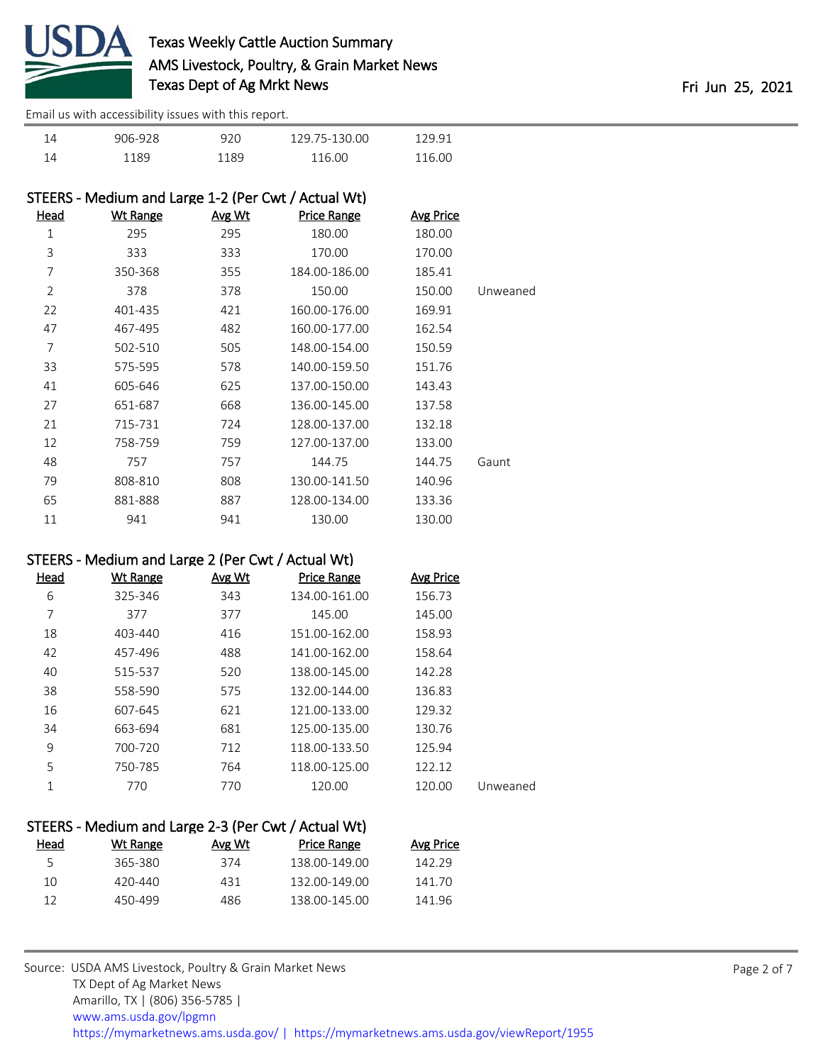

| 14 | 906-928 | າວດ<br>ч | 129.75-130.00 | בים הי  |
|----|---------|----------|---------------|---------|
| 14 |         | 1 1 Q Q  | 16 NO         | 116. NO |

| STEERS - Medium and Large 1-2 (Per Cwt / Actual Wt) |                 |               |                    |           |          |
|-----------------------------------------------------|-----------------|---------------|--------------------|-----------|----------|
| Head                                                | <u>Wt Range</u> | <u>Avg Wt</u> | <b>Price Range</b> | Avg Price |          |
| 1                                                   | 295             | 295           | 180.00             | 180.00    |          |
| 3                                                   | 333             | 333           | 170.00             | 170.00    |          |
| 7                                                   | 350-368         | 355           | 184.00-186.00      | 185.41    |          |
| 2                                                   | 378             | 378           | 150.00             | 150.00    | Unweaned |
| 22                                                  | 401-435         | 421           | 160.00-176.00      | 169.91    |          |
| 47                                                  | 467-495         | 482           | 160.00-177.00      | 162.54    |          |
| 7                                                   | 502-510         | 505           | 148.00-154.00      | 150.59    |          |
| 33                                                  | 575-595         | 578           | 140.00-159.50      | 151.76    |          |
| 41                                                  | 605-646         | 625           | 137.00-150.00      | 143.43    |          |
| 27                                                  | 651-687         | 668           | 136.00-145.00      | 137.58    |          |
| 21                                                  | 715-731         | 724           | 128.00-137.00      | 132.18    |          |
| 12                                                  | 758-759         | 759           | 127.00-137.00      | 133.00    |          |
| 48                                                  | 757             | 757           | 144.75             | 144.75    | Gaunt    |
| 79                                                  | 808-810         | 808           | 130.00-141.50      | 140.96    |          |
| 65                                                  | 881-888         | 887           | 128.00-134.00      | 133.36    |          |
| 11                                                  | 941             | 941           | 130.00             | 130.00    |          |

### STEERS - Medium and Large 2 (Per Cwt / Actual Wt)

| Head | Wt Range | Avg Wt | <b>Price Range</b> | <b>Avg Price</b> |          |
|------|----------|--------|--------------------|------------------|----------|
| 6    | 325-346  | 343    | 134.00-161.00      | 156.73           |          |
| 7    | 377      | 377    | 145.00             | 145.00           |          |
| 18   | 403-440  | 416    | 151.00-162.00      | 158.93           |          |
| 42   | 457-496  | 488    | 141.00-162.00      | 158.64           |          |
| 40   | 515-537  | 520    | 138.00-145.00      | 142.28           |          |
| 38   | 558-590  | 575    | 132.00-144.00      | 136.83           |          |
| 16   | 607-645  | 621    | 121.00-133.00      | 129.32           |          |
| 34   | 663-694  | 681    | 125.00-135.00      | 130.76           |          |
| 9    | 700-720  | 712    | 118.00-133.50      | 125.94           |          |
| 5    | 750-785  | 764    | 118.00-125.00      | 122.12           |          |
| 1    | 770      | 770    | 120.00             | 120.00           | Unweaned |
|      |          |        |                    |                  |          |

| STEERS - Medium and Large 2-3 (Per Cwt / Actual Wt) |        |               |           |  |  |
|-----------------------------------------------------|--------|---------------|-----------|--|--|
| Wt Range                                            | Avg Wt | Price Range   | Avg Price |  |  |
| 365-380                                             | 374    | 138.00-149.00 | 142.29    |  |  |
| $420 - 440$                                         | 431    | 132.00-149.00 | 141.70    |  |  |
| 450-499                                             | 486    | 138.00-145.00 | 141.96    |  |  |
|                                                     |        |               |           |  |  |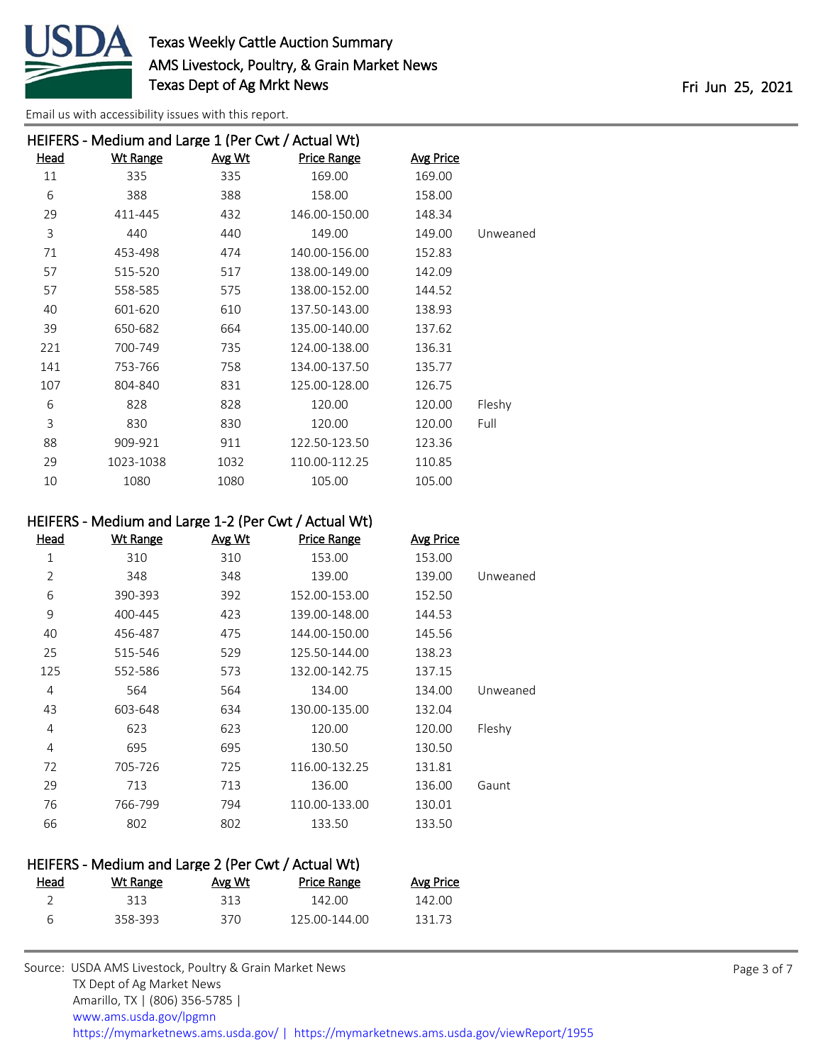

| HEIFERS - Medium and Large 1 (Per Cwt / Actual Wt) |                 |               |               |           |          |
|----------------------------------------------------|-----------------|---------------|---------------|-----------|----------|
| Head                                               | <b>Wt Range</b> | <u>Avg Wt</u> | Price Range   | Avg Price |          |
| 11                                                 | 335             | 335           | 169.00        | 169.00    |          |
| 6                                                  | 388             | 388           | 158.00        | 158.00    |          |
| 29                                                 | 411-445         | 432           | 146.00-150.00 | 148.34    |          |
| 3                                                  | 440             | 440           | 149.00        | 149.00    | Unweaned |
| 71                                                 | 453-498         | 474           | 140.00-156.00 | 152.83    |          |
| 57                                                 | 515-520         | 517           | 138.00-149.00 | 142.09    |          |
| 57                                                 | 558-585         | 575           | 138.00-152.00 | 144.52    |          |
| 40                                                 | 601-620         | 610           | 137.50-143.00 | 138.93    |          |
| 39                                                 | 650-682         | 664           | 135.00-140.00 | 137.62    |          |
| 221                                                | 700-749         | 735           | 124.00-138.00 | 136.31    |          |
| 141                                                | 753-766         | 758           | 134.00-137.50 | 135.77    |          |
| 107                                                | 804-840         | 831           | 125.00-128.00 | 126.75    |          |
| 6                                                  | 828             | 828           | 120.00        | 120.00    | Fleshy   |
| 3                                                  | 830             | 830           | 120.00        | 120.00    | Full     |
| 88                                                 | 909-921         | 911           | 122.50-123.50 | 123.36    |          |
| 29                                                 | 1023-1038       | 1032          | 110.00-112.25 | 110.85    |          |
| 10                                                 | 1080            | 1080          | 105.00        | 105.00    |          |

### HEIFERS - Medium and Large 1-2 (Per Cwt / Actual Wt)

| <u>Head</u>    | <b>Wt Range</b> | Avg Wt | <b>Price Range</b> | <b>Avg Price</b> |          |
|----------------|-----------------|--------|--------------------|------------------|----------|
| 1              | 310             | 310    | 153.00             | 153.00           |          |
| $\overline{2}$ | 348             | 348    | 139.00             | 139.00           | Unweaned |
| 6              | 390-393         | 392    | 152.00-153.00      | 152.50           |          |
| 9              | 400-445         | 423    | 139.00-148.00      | 144.53           |          |
| 40             | 456-487         | 475    | 144.00-150.00      | 145.56           |          |
| 25             | 515-546         | 529    | 125.50-144.00      | 138.23           |          |
| 125            | 552-586         | 573    | 132.00-142.75      | 137.15           |          |
| 4              | 564             | 564    | 134.00             | 134.00           | Unweaned |
| 43             | 603-648         | 634    | 130.00-135.00      | 132.04           |          |
| 4              | 623             | 623    | 120.00             | 120.00           | Fleshy   |
| 4              | 695             | 695    | 130.50             | 130.50           |          |
| 72             | 705-726         | 725    | 116.00-132.25      | 131.81           |          |
| 29             | 713             | 713    | 136.00             | 136.00           | Gaunt    |
| 76             | 766-799         | 794    | 110.00-133.00      | 130.01           |          |
| 66             | 802             | 802    | 133.50             | 133.50           |          |
|                |                 |        |                    |                  |          |

# HEIFERS - Medium and Large 2 (Per Cwt / Actual Wt) Head Wt Range Avg Wt Price Range Avg Price

| 212     | 313 | 142.00        | 142 NO |
|---------|-----|---------------|--------|
| 358-393 | 370 | 125.00-144.00 | 131 73 |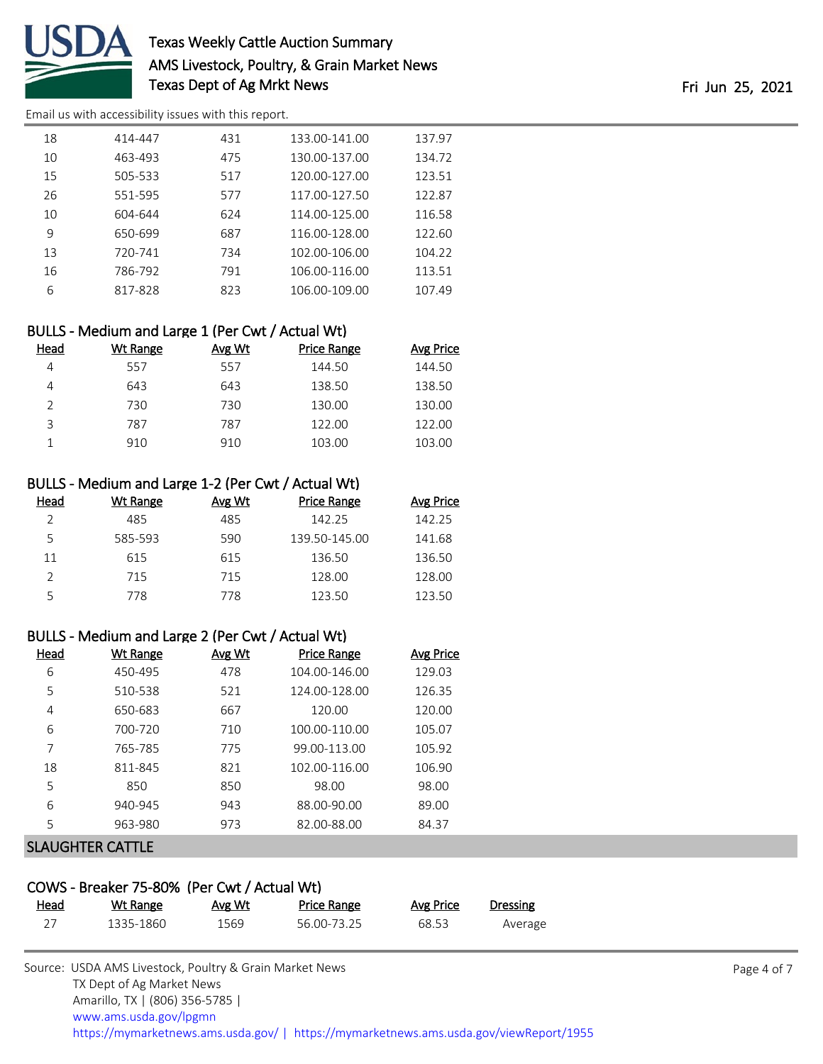

## Texas Weekly Cattle Auction Summary AMS Livestock, Poultry, & Grain Market News Texas Dept of Ag Mrkt News Fri Jun 25, 2021

[Email us with accessibility issues with this report.](mailto:mars@ams.usda.gov?subject=508%20issue)

| 18 | 414-447 | 431 | 133.00-141.00 | 137.97 |
|----|---------|-----|---------------|--------|
| 10 | 463-493 | 475 | 130.00-137.00 | 134.72 |
| 15 | 505-533 | 517 | 120.00-127.00 | 123.51 |
| 26 | 551-595 | 577 | 117.00-127.50 | 122.87 |
| 10 | 604-644 | 624 | 114.00-125.00 | 116.58 |
| 9  | 650-699 | 687 | 116.00-128.00 | 122.60 |
| 13 | 720-741 | 734 | 102.00-106.00 | 104.22 |
| 16 | 786-792 | 791 | 106.00-116.00 | 113.51 |
| 6  | 817-828 | 823 | 106.00-109.00 | 107.49 |

### BULLS - Medium and Large 1 (Per Cwt / Actual Wt)

| Head          | <b>Wt Range</b> | Avg Wt | <b>Price Range</b> | <b>Avg Price</b> |
|---------------|-----------------|--------|--------------------|------------------|
|               | 557             | 557    | 144.50             | 144.50           |
| 4             | 643             | 643    | 138.50             | 138.50           |
| $\mathcal{P}$ | 730             | 730    | 130.00             | 130.00           |
| 3             | 787             | 787    | 122.00             | 122.00           |
|               | 910             | 910    | 103.00             | 103.00           |

#### BULLS - Medium and Large 1-2 (Per Cwt / Actual Wt)

| Head | Wt Range | Avg Wt | <b>Price Range</b> | <b>Avg Price</b> |
|------|----------|--------|--------------------|------------------|
|      | 485      | 485    | 142.25             | 142.25           |
| 5    | 585-593  | 590    | 139.50-145.00      | 141.68           |
| 11   | 615      | 615    | 136.50             | 136.50           |
|      | 715      | 715    | 128.00             | 128.00           |
|      | 778      | 778    | 123.50             | 123.50           |

#### BULLS - Medium and Large 2 (Per Cwt / Actual Wt)

| Head | Wt Range | Avg Wt | <b>Price Range</b> | <b>Avg Price</b> |
|------|----------|--------|--------------------|------------------|
| 6    | 450-495  | 478    | 104.00-146.00      | 129.03           |
| 5    | 510-538  | 521    | 124.00-128.00      | 126.35           |
| 4    | 650-683  | 667    | 120.00             | 120.00           |
| 6    | 700-720  | 710    | 100.00-110.00      | 105.07           |
| 7    | 765-785  | 775    | 99.00-113.00       | 105.92           |
| 18   | 811-845  | 821    | 102.00-116.00      | 106.90           |
| 5    | 850      | 850    | 98.00              | 98.00            |
| 6    | 940-945  | 943    | 88.00-90.00        | 89.00            |
| 5    | 963-980  | 973    | 82.00-88.00        | 84.37            |
|      |          |        |                    |                  |

### SLAUGHTER CATTLE

| COWS - Breaker 75-80% (Per Cwt / Actual Wt) |           |        |             |           |          |  |  |  |  |
|---------------------------------------------|-----------|--------|-------------|-----------|----------|--|--|--|--|
| <u>Head</u>                                 | Wt Range  | Avg Wt | Price Range | Avg Price | Dressing |  |  |  |  |
| 27                                          | 1335-1860 | 1569   | 56.00-73.25 | 68.53     | Average  |  |  |  |  |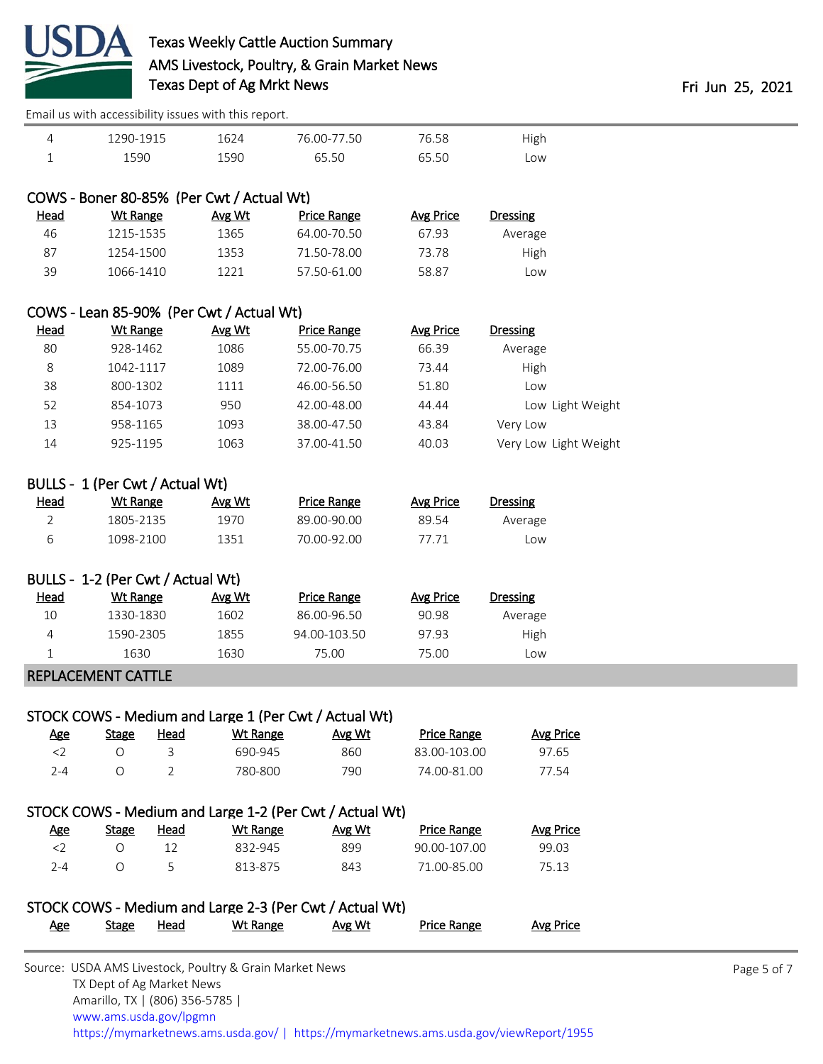

## Texas Weekly Cattle Auction Summary AMS Livestock, Poultry, & Grain Market News Texas Dept of Ag Mrkt News **Fri 100 and 25, 2021**

[Email us with accessibility issues with this report.](mailto:mars@ams.usda.gov?subject=508%20issue)

| 290-1915 | 624  | 76.00-77.50 | 6.58<br>៸៲ | ισh |
|----------|------|-------------|------------|-----|
| 590      | 1590 | .50         | .50        | _OW |

## COWS - Boner 80-85% (Per Cwt / Actual Wt)

| Dressing | Avg Price | <b>Price Range</b> | Avg Wt | Wt Range  | <u>Head</u> |
|----------|-----------|--------------------|--------|-----------|-------------|
| Average  | 67.93     | 64.00-70.50        | 1365   | 1215-1535 | 46          |
| High     | 73.78     | 71.50-78.00        | 1353   | 1254-1500 | 87          |
| Low      | 58.87     | 57.50-61.00        | 1221   | 1066-1410 | 39          |
|          |           |                    |        |           |             |

#### COWS - Lean 85-90% (Per Cwt / Actual Wt)

| Head | Wt Range  | Avg Wt | Price Range | Avg Price | Dressing              |
|------|-----------|--------|-------------|-----------|-----------------------|
| 80   | 928-1462  | 1086   | 55.00-70.75 | 66.39     | Average               |
| 8    | 1042-1117 | 1089   | 72.00-76.00 | 73.44     | High                  |
| 38   | 800-1302  | 1111   | 46.00-56.50 | 51.80     | LOW                   |
| 52   | 854-1073  | 950    | 42.00-48.00 | 44.44     | Low Light Weight      |
| 13   | 958-1165  | 1093   | 38.00-47.50 | 43.84     | Very Low              |
| 14   | 925-1195  | 1063   | 37.00-41.50 | 40.03     | Very Low Light Weight |

### BULLS - 1 (Per Cwt / Actual Wt)

| <u>Head</u> | Wt Range  | Avg Wt | Price Range | Avg Price | Dressing |
|-------------|-----------|--------|-------------|-----------|----------|
|             | 1805-2135 | 1970   | 89.00-90.00 | 89.54     | Average  |
|             | 1098-2100 | 1351   | 70.00-92.00 | 77 71     | Low      |

### BULLS - 1-2 (Per Cwt / Actual Wt)

| Head | Wt Range  | Avg Wt | Price Range  | Avg Price | <b>Dressing</b> |  |
|------|-----------|--------|--------------|-----------|-----------------|--|
| 10   | 1330-1830 | 1602   | 86.00-96.50  | 90.98     | Average         |  |
|      | 1590-2305 | 1855   | 94.00-103.50 | 97.93     | High            |  |
|      | 1630      | 1630   | 75.00        | 75.00     | Low             |  |

### REPLACEMENT CATTLE

### STOCK COWS - Medium and Large 1 (Per Cwt / Actual Wt)

| Age     | <b>Stage</b> | <u>Head</u> | Wt Range | Avg Wt | Price Range  | Avg Price |
|---------|--------------|-------------|----------|--------|--------------|-----------|
|         |              |             | 690-945  | 860    | 83.00-103.00 | 97.65     |
| $7 - 4$ |              |             | 780-800  | 790    | 74.00-81.00  | 77.54     |

### STOCK COWS - Medium and Large 1-2 (Per Cwt / Actual Wt)

| <u>Age</u> | Stage | Head | Wt Range | Avg Wt | <b>Price Range</b> | Avg Price |
|------------|-------|------|----------|--------|--------------------|-----------|
|            |       |      | 832-945  | 899    | 90.00-107.00       | 99.03     |
| 7-4        |       |      | 813-875  | 843    | 71.00-85.00        | 75.13     |

## STOCK COWS - Medium and Large 2-3 (Per Cwt / Actual Wt)

| <u>Age</u> | <b>Stage</b> | <u>Head</u> | Wt Range | Avg Wt | <b>Price Range</b> | <b>Avg Price</b> |
|------------|--------------|-------------|----------|--------|--------------------|------------------|
|------------|--------------|-------------|----------|--------|--------------------|------------------|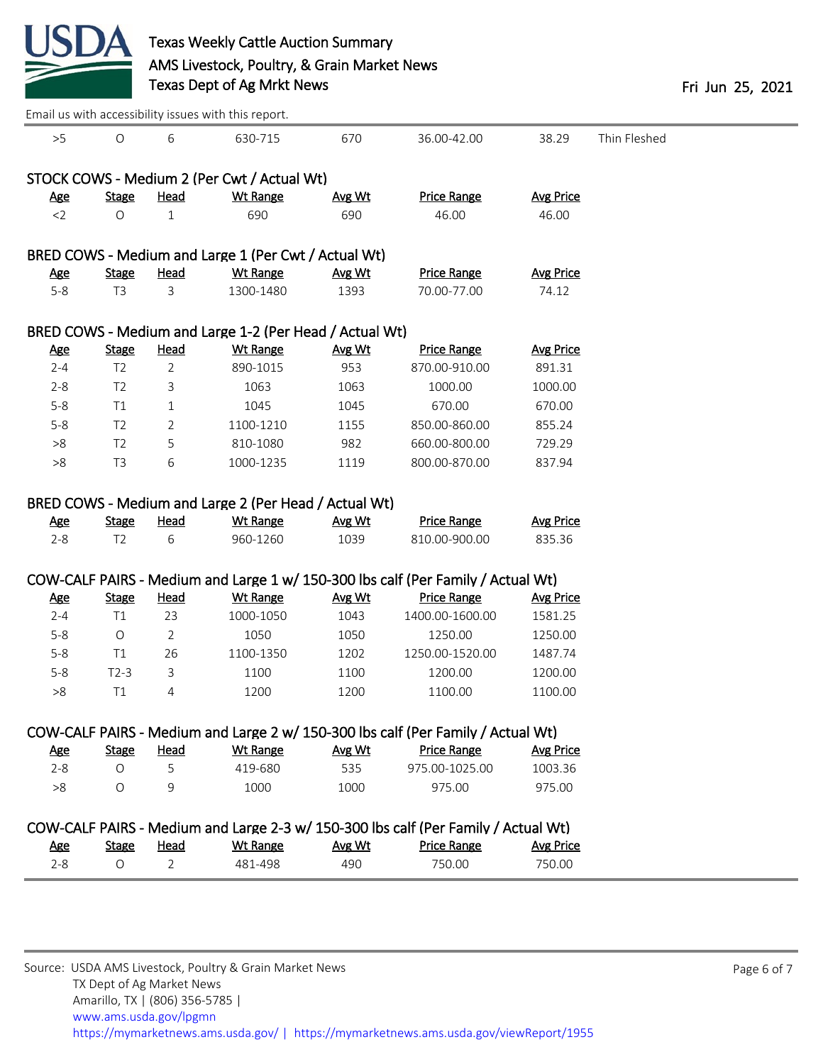

|            |                |                | Email us with accessibility issues with this report.    |        |                                                                                    |                  |              |
|------------|----------------|----------------|---------------------------------------------------------|--------|------------------------------------------------------------------------------------|------------------|--------------|
| >5         | $\bigcirc$     | 6              | 630-715                                                 | 670    | 36.00-42.00                                                                        | 38.29            | Thin Fleshed |
|            |                |                |                                                         |        |                                                                                    |                  |              |
|            |                |                | STOCK COWS - Medium 2 (Per Cwt / Actual Wt)             |        |                                                                                    |                  |              |
| <u>Age</u> | <b>Stage</b>   | <b>Head</b>    | <b>Wt Range</b>                                         | Avg Wt | <b>Price Range</b>                                                                 | <b>Avg Price</b> |              |
| $<$ 2      | $\bigcirc$     | 1              | 690                                                     | 690    | 46.00                                                                              | 46.00            |              |
|            |                |                | BRED COWS - Medium and Large 1 (Per Cwt / Actual Wt)    |        |                                                                                    |                  |              |
| <b>Age</b> | <b>Stage</b>   | <b>Head</b>    | Wt Range                                                | Avg Wt | <b>Price Range</b>                                                                 | <b>Avg Price</b> |              |
| $5-8$      | T <sub>3</sub> | 3              | 1300-1480                                               | 1393   | 70.00-77.00                                                                        | 74.12            |              |
|            |                |                | BRED COWS - Medium and Large 1-2 (Per Head / Actual Wt) |        |                                                                                    |                  |              |
| <u>Age</u> | <b>Stage</b>   | <b>Head</b>    | <b>Wt Range</b>                                         | Avg Wt | <b>Price Range</b>                                                                 | <b>Avg Price</b> |              |
| $2 - 4$    | T <sub>2</sub> | $\overline{2}$ | 890-1015                                                | 953    | 870.00-910.00                                                                      | 891.31           |              |
| $2 - 8$    | T <sub>2</sub> | 3              | 1063                                                    | 1063   | 1000.00                                                                            | 1000.00          |              |
| $5 - 8$    | T <sub>1</sub> | 1              | 1045                                                    | 1045   | 670.00                                                                             | 670.00           |              |
| $5 - 8$    | T <sub>2</sub> | 2              | 1100-1210                                               | 1155   | 850.00-860.00                                                                      | 855.24           |              |
| $>\!8$     | T <sub>2</sub> | 5              | 810-1080                                                | 982    | 660.00-800.00                                                                      | 729.29           |              |
| $>\!\!8$   | T <sub>3</sub> | 6              | 1000-1235                                               | 1119   | 800.00-870.00                                                                      | 837.94           |              |
|            |                |                | BRED COWS - Medium and Large 2 (Per Head / Actual Wt)   |        |                                                                                    |                  |              |
| <u>Age</u> | <b>Stage</b>   | <b>Head</b>    | <b>Wt Range</b>                                         | Avg Wt | <b>Price Range</b>                                                                 | <b>Avg Price</b> |              |
| $2 - 8$    | T <sub>2</sub> | 6              | 960-1260                                                | 1039   | 810.00-900.00                                                                      | 835.36           |              |
|            |                |                |                                                         |        |                                                                                    |                  |              |
|            |                |                |                                                         |        | COW-CALF PAIRS - Medium and Large 1 w/ 150-300 lbs calf (Per Family / Actual Wt)   |                  |              |
| <b>Age</b> | <b>Stage</b>   | <b>Head</b>    | <b>Wt Range</b>                                         | Avg Wt | <b>Price Range</b>                                                                 | <b>Avg Price</b> |              |
| $2 - 4$    | T1             | 23             | 1000-1050                                               | 1043   | 1400.00-1600.00                                                                    | 1581.25          |              |
| $5 - 8$    | $\circ$        | 2              | 1050                                                    | 1050   | 1250.00                                                                            | 1250.00          |              |
| $5 - 8$    | T1             | 26             | 1100-1350                                               | 1202   | 1250.00-1520.00                                                                    | 1487.74          |              |
| $5 - 8$    | $T2-3$         | 3              | 1100                                                    | 1100   | 1200.00                                                                            | 1200.00          |              |
| $>\!\!8$   | T1             | 4              | 1200                                                    | 1200   | 1100.00                                                                            | 1100.00          |              |
|            |                |                |                                                         |        | COW-CALF PAIRS - Medium and Large 2 w/ 150-300 lbs calf (Per Family / Actual Wt)   |                  |              |
| <b>Age</b> | <b>Stage</b>   | <u>Head</u>    | <b>Wt Range</b>                                         | Avg Wt | <b>Price Range</b>                                                                 | <b>Avg Price</b> |              |
| $2 - 8$    | $\circ$        | 5              | 419-680                                                 | 535    | 975.00-1025.00                                                                     | 1003.36          |              |
| >8         | O              | 9              | 1000                                                    | 1000   | 975.00                                                                             | 975.00           |              |
|            |                |                |                                                         |        | COW-CALF PAIRS - Medium and Large 2-3 w/ 150-300 lbs calf (Per Family / Actual Wt) |                  |              |
| <b>Age</b> | <b>Stage</b>   | <b>Head</b>    | <b>Wt Range</b>                                         | Avg Wt | <b>Price Range</b>                                                                 | <b>Avg Price</b> |              |
| $2 - 8$    | $\circ$        | $\overline{2}$ | 481-498                                                 | 490    | 750.00                                                                             | 750.00           |              |
|            |                |                |                                                         |        |                                                                                    |                  |              |